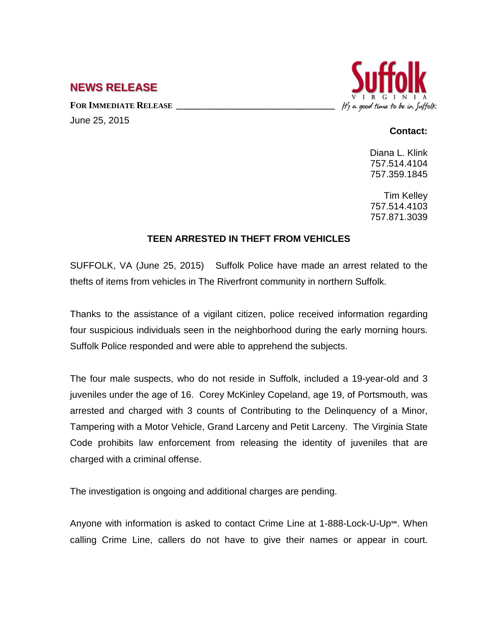## **NEWS RELEASE**

FOR **IMMEDIATE RELEASE** June 25, 2015



## **Contact:**

Diana L. Klink 757.514.4104 757.359.1845

Tim Kelley 757.514.4103 757.871.3039

## **TEEN ARRESTED IN THEFT FROM VEHICLES**

SUFFOLK, VA (June 25, 2015) Suffolk Police have made an arrest related to the thefts of items from vehicles in The Riverfront community in northern Suffolk.

Thanks to the assistance of a vigilant citizen, police received information regarding four suspicious individuals seen in the neighborhood during the early morning hours. Suffolk Police responded and were able to apprehend the subjects.

The four male suspects, who do not reside in Suffolk, included a 19-year-old and 3 juveniles under the age of 16. Corey McKinley Copeland, age 19, of Portsmouth, was arrested and charged with 3 counts of Contributing to the Delinquency of a Minor, Tampering with a Motor Vehicle, Grand Larceny and Petit Larceny. The Virginia State Code prohibits law enforcement from releasing the identity of juveniles that are charged with a criminal offense.

The investigation is ongoing and additional charges are pending.

Anyone with information is asked to contact Crime Line at 1-888-Lock-U-Up℠. When calling Crime Line, callers do not have to give their names or appear in court.